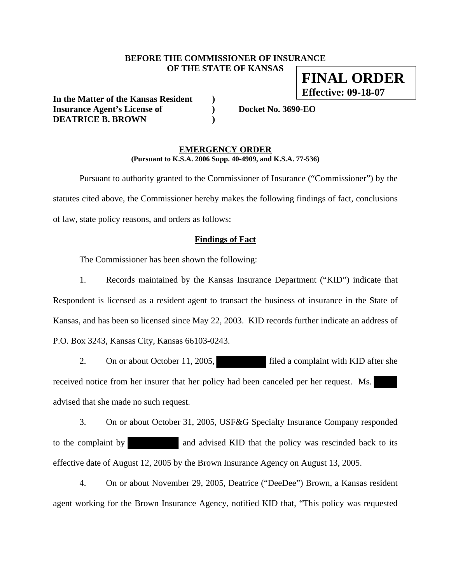### **BEFORE THE COMMISSIONER OF INSURANCE OF THE STATE OF KANSAS FINAL ORDER**

**In the Matter of the Kansas Resident ) Insurance Agent's License of ) Docket No. 3690-EO DEATRICE B. BROWN )** 

**Effective: 09-18-07**

#### **EMERGENCY ORDER (Pursuant to K.S.A. 2006 Supp. 40-4909, and K.S.A. 77-536)**

 Pursuant to authority granted to the Commissioner of Insurance ("Commissioner") by the statutes cited above, the Commissioner hereby makes the following findings of fact, conclusions of law, state policy reasons, and orders as follows:

#### **Findings of Fact**

The Commissioner has been shown the following:

 1. Records maintained by the Kansas Insurance Department ("KID") indicate that Respondent is licensed as a resident agent to transact the business of insurance in the State of Kansas, and has been so licensed since May 22, 2003. KID records further indicate an address of P.O. Box 3243, Kansas City, Kansas 66103-0243.

2. On or about October 11, 2005, filed a complaint with KID after she received notice from her insurer that her policy had been canceled per her request. Ms. advised that she made no such request.

 3. On or about October 31, 2005, USF&G Specialty Insurance Company responded to the complaint by and advised KID that the policy was rescinded back to its effective date of August 12, 2005 by the Brown Insurance Agency on August 13, 2005.

 4. On or about November 29, 2005, Deatrice ("DeeDee") Brown, a Kansas resident agent working for the Brown Insurance Agency, notified KID that, "This policy was requested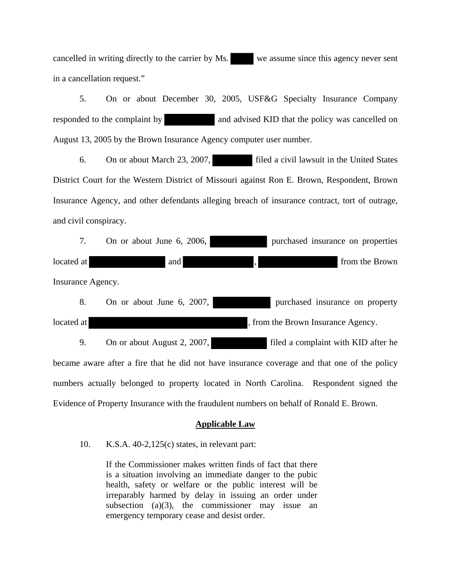cancelled in writing directly to the carrier by Ms. we assume since this agency never sent in a cancellation request."

 5. On or about December 30, 2005, USF&G Specialty Insurance Company responded to the complaint by and advised KID that the policy was cancelled on August 13, 2005 by the Brown Insurance Agency computer user number.

 6. On or about March 23, 2007, filed a civil lawsuit in the United States District Court for the Western District of Missouri against Ron E. Brown, Respondent, Brown Insurance Agency, and other defendants alleging breach of insurance contract, tort of outrage, and civil conspiracy.

| 7.                                                                                           | On or about June 6, 2006,   | purchased insurance on properties                                                        |
|----------------------------------------------------------------------------------------------|-----------------------------|------------------------------------------------------------------------------------------|
| located at                                                                                   | and                         | from the Brown                                                                           |
| Insurance Agency.                                                                            |                             |                                                                                          |
| 8.                                                                                           | On or about June 6, 2007,   | purchased insurance on property                                                          |
| located at                                                                                   |                             | , from the Brown Insurance Agency.                                                       |
| 9.                                                                                           | On or about August 2, 2007, | filed a complaint with KID after he                                                      |
| became aware after a fire that he did not have insurance coverage and that one of the policy |                             |                                                                                          |
|                                                                                              |                             | numbers actually belonged to property located in North Carolina. Respondent signed the   |
|                                                                                              |                             | Evidence of Property Insurance with the fraudulent numbers on behalf of Ronald E. Brown. |

# **Applicable Law**

#### 10. K.S.A. 40-2,125(c) states, in relevant part:

If the Commissioner makes written finds of fact that there is a situation involving an immediate danger to the pubic health, safety or welfare or the public interest will be irreparably harmed by delay in issuing an order under subsection  $(a)(3)$ , the commissioner may issue an emergency temporary cease and desist order.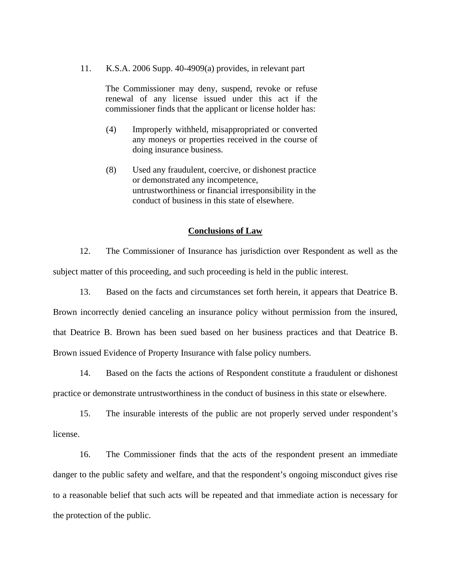11. K.S.A. 2006 Supp. 40-4909(a) provides, in relevant part

The Commissioner may deny, suspend, revoke or refuse renewal of any license issued under this act if the commissioner finds that the applicant or license holder has:

- (4) Improperly withheld, misappropriated or converted any moneys or properties received in the course of doing insurance business.
- (8) Used any fraudulent, coercive, or dishonest practice or demonstrated any incompetence, untrustworthiness or financial irresponsibility in the conduct of business in this state of elsewhere.

#### **Conclusions of Law**

 12. The Commissioner of Insurance has jurisdiction over Respondent as well as the subject matter of this proceeding, and such proceeding is held in the public interest.

 13. Based on the facts and circumstances set forth herein, it appears that Deatrice B. Brown incorrectly denied canceling an insurance policy without permission from the insured, that Deatrice B. Brown has been sued based on her business practices and that Deatrice B. Brown issued Evidence of Property Insurance with false policy numbers.

 14. Based on the facts the actions of Respondent constitute a fraudulent or dishonest practice or demonstrate untrustworthiness in the conduct of business in this state or elsewhere.

 15. The insurable interests of the public are not properly served under respondent's license.

 16. The Commissioner finds that the acts of the respondent present an immediate danger to the public safety and welfare, and that the respondent's ongoing misconduct gives rise to a reasonable belief that such acts will be repeated and that immediate action is necessary for the protection of the public.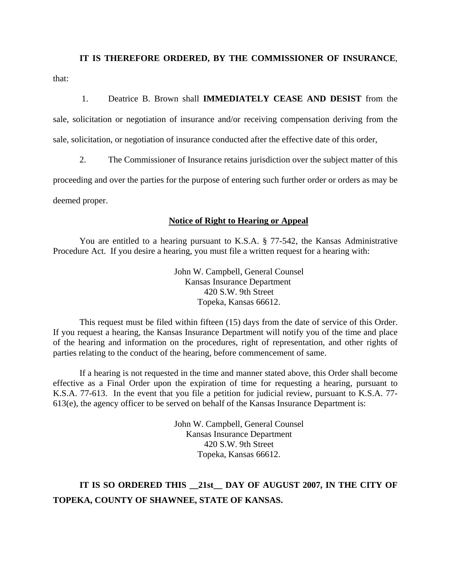# **IT IS THEREFORE ORDERED, BY THE COMMISSIONER OF INSURANCE**,

that:

1. Deatrice B. Brown shall **IMMEDIATELY CEASE AND DESIST** from the

sale, solicitation or negotiation of insurance and/or receiving compensation deriving from the sale, solicitation, or negotiation of insurance conducted after the effective date of this order,

2. The Commissioner of Insurance retains jurisdiction over the subject matter of this

proceeding and over the parties for the purpose of entering such further order or orders as may be deemed proper.

# **Notice of Right to Hearing or Appeal**

You are entitled to a hearing pursuant to K.S.A. § 77-542, the Kansas Administrative Procedure Act. If you desire a hearing, you must file a written request for a hearing with:

> John W. Campbell, General Counsel Kansas Insurance Department 420 S.W. 9th Street Topeka, Kansas 66612.

This request must be filed within fifteen (15) days from the date of service of this Order. If you request a hearing, the Kansas Insurance Department will notify you of the time and place of the hearing and information on the procedures, right of representation, and other rights of parties relating to the conduct of the hearing, before commencement of same.

If a hearing is not requested in the time and manner stated above, this Order shall become effective as a Final Order upon the expiration of time for requesting a hearing, pursuant to K.S.A. 77-613. In the event that you file a petition for judicial review, pursuant to K.S.A. 77- 613(e), the agency officer to be served on behalf of the Kansas Insurance Department is:

> John W. Campbell, General Counsel Kansas Insurance Department 420 S.W. 9th Street Topeka, Kansas 66612.

# **IT IS SO ORDERED THIS \_\_21st\_\_ DAY OF AUGUST 2007, IN THE CITY OF TOPEKA, COUNTY OF SHAWNEE, STATE OF KANSAS.**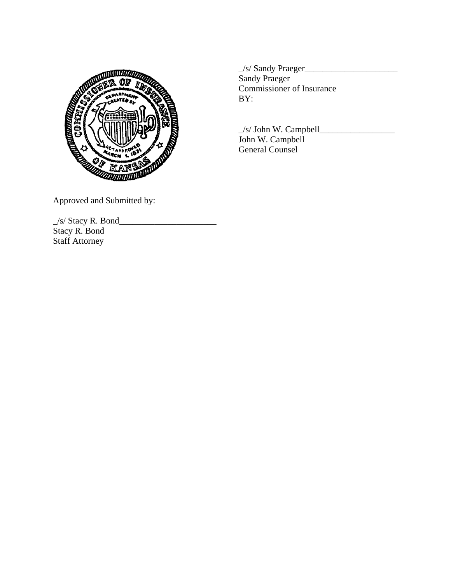

\_/s/ John W. Campbell\_\_\_\_\_\_\_\_\_\_\_\_\_\_\_\_\_

Approved and Submitted by:

\_/s/ Stacy R. Bond\_\_\_\_\_\_\_\_\_\_\_\_\_\_\_\_\_\_\_\_\_\_ Stacy R. Bond Staff Attorney